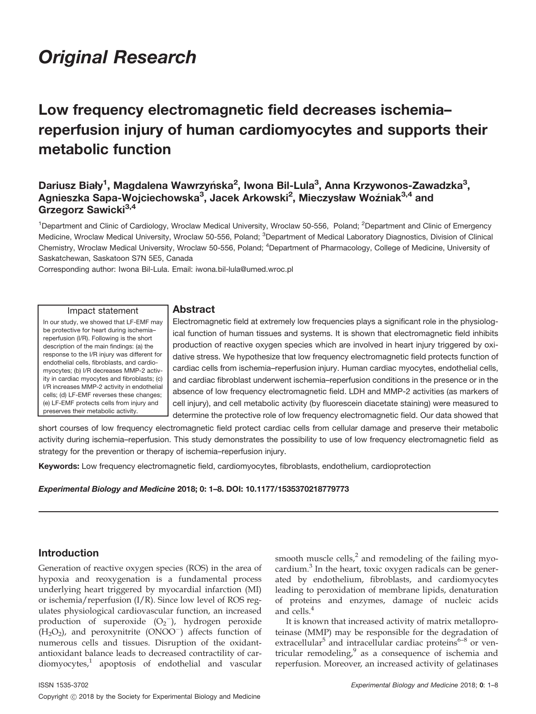# Original Research

## Low frequency electromagnetic field decreases ischemia– reperfusion injury of human cardiomyocytes and supports their metabolic function

## Dariusz Biały<sup>1</sup>, Magdalena Wawrzyńska<sup>2</sup>, Iwona Bil-Lula<sup>3</sup>, Anna Krzywonos-Zawadzka<sup>3</sup>, Agnieszka Sapa-Wojciechowska<sup>3</sup>, Jacek Arkowski<sup>2</sup>, Mieczysław Woźniak<sup>3,4</sup> and Grzegorz Sawicki<sup>3,4</sup>

<sup>1</sup>Department and Clinic of Cardiology, Wroclaw Medical University, Wroclaw 50-556, Poland; <sup>2</sup>Department and Clinic of Emergency Medicine, Wroclaw Medical University, Wroclaw 50-556, Poland; <sup>3</sup>Department of Medical Laboratory Diagnostics, Division of Clinical Chemistry, Wroclaw Medical University, Wroclaw 50-556, Poland; <sup>4</sup>Department of Pharmacology, College of Medicine, University of Saskatchewan, Saskatoon S7N 5E5, Canada

Corresponding author: Iwona Bil-Lula. Email: [iwona.bil-lula@umed.wroc.pl](mailto:iwona.bil-lula@umed.wroc.pl)

#### Impact statement

In our study, we showed that LF-EMF may be protective for heart during ischemia– reperfusion (I/R). Following is the short description of the main findings: (a) the response to the I/R injury was different for endothelial cells, fibroblasts, and cardiomyocytes; (b) I/R decreases MMP-2 activity in cardiac myocytes and fibroblasts; (c) I/R increases MMP-2 activity in endothelial cells; (d) LF-EMF reverses these changes; (e) LF-EMF protects cells from injury and preserves their metabolic activity.

### Abstract

Electromagnetic field at extremely low frequencies plays a significant role in the physiological function of human tissues and systems. It is shown that electromagnetic field inhibits production of reactive oxygen species which are involved in heart injury triggered by oxidative stress. We hypothesize that low frequency electromagnetic field protects function of cardiac cells from ischemia–reperfusion injury. Human cardiac myocytes, endothelial cells, and cardiac fibroblast underwent ischemia–reperfusion conditions in the presence or in the absence of low frequency electromagnetic field. LDH and MMP-2 activities (as markers of cell injury), and cell metabolic activity (by fluorescein diacetate staining) were measured to determine the protective role of low frequency electromagnetic field. Our data showed that

short courses of low frequency electromagnetic field protect cardiac cells from cellular damage and preserve their metabolic activity during ischemia–reperfusion. This study demonstrates the possibility to use of low frequency electromagnetic field as strategy for the prevention or therapy of ischemia–reperfusion injury.

Keywords: Low frequency electromagnetic field, cardiomyocytes, fibroblasts, endothelium, cardioprotection

#### Experimental Biology and Medicine 2018; 0: 1–8. DOI: 10.1177/1535370218779773

## Introduction

Generation of reactive oxygen species (ROS) in the area of hypoxia and reoxygenation is a fundamental process underlying heart triggered by myocardial infarction (MI) or ischemia/reperfusion (I/R). Since low level of ROS regulates physiological cardiovascular function, an increased production of superoxide  $(O_2^-)$ , hydrogen peroxide  $(H<sub>2</sub>O<sub>2</sub>)$ , and peroxynitrite (ONOO<sup>-</sup>) affects function of numerous cells and tissues. Disruption of the oxidantantioxidant balance leads to decreased contractility of car $diamyocytes,$ <sup>1</sup> apoptosis of endothelial and vascular

smooth muscle cells, $^2$  and remodeling of the failing myocardium. $3$  In the heart, toxic oxygen radicals can be generated by endothelium, fibroblasts, and cardiomyocytes leading to peroxidation of membrane lipids, denaturation of proteins and enzymes, damage of nucleic acids and cells.<sup>4</sup>

It is known that increased activity of matrix metalloproteinase (MMP) may be responsible for the degradation of extracellular<sup>5</sup> and intracellular cardiac proteins<sup>6-8</sup> or ventricular remodeling, $9$  as a consequence of ischemia and reperfusion. Moreover, an increased activity of gelatinases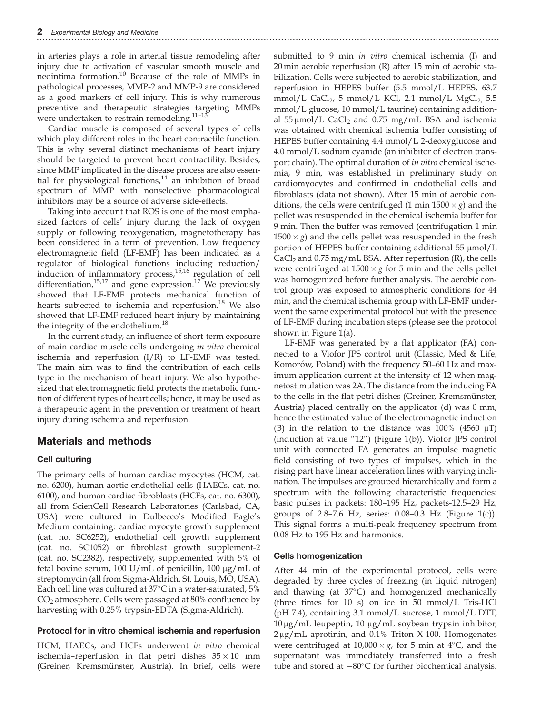in arteries plays a role in arterial tissue remodeling after injury due to activation of vascular smooth muscle and neointima formation.<sup>10</sup> Because of the role of MMPs in pathological processes, MMP-2 and MMP-9 are considered as a good markers of cell injury. This is why numerous preventive and therapeutic strategies targeting MMPs were undertaken to restrain remodeling.<sup>11-13</sup>

Cardiac muscle is composed of several types of cells which play different roles in the heart contractile function. This is why several distinct mechanisms of heart injury should be targeted to prevent heart contractility. Besides, since MMP implicated in the disease process are also essential for physiological functions, $14$  an inhibition of broad spectrum of MMP with nonselective pharmacological inhibitors may be a source of adverse side-effects.

Taking into account that ROS is one of the most emphasized factors of cells' injury during the lack of oxygen supply or following reoxygenation, magnetotherapy has been considered in a term of prevention. Low frequency electromagnetic field (LF-EMF) has been indicated as a regulator of biological functions including reduction/ induction of inflammatory process,<sup>15,16</sup> regulation of cell differentiation,<sup>15,17</sup> and gene expression.<sup>17</sup> We previously showed that LF-EMF protects mechanical function of hearts subjected to ischemia and reperfusion.<sup>18</sup> We also showed that LF-EMF reduced heart injury by maintaining the integrity of the endothelium.<sup>18</sup>

In the current study, an influence of short-term exposure of main cardiac muscle cells undergoing in vitro chemical ischemia and reperfusion  $(I/R)$  to LF-EMF was tested. The main aim was to find the contribution of each cells type in the mechanism of heart injury. We also hypothesized that electromagnetic field protects the metabolic function of different types of heart cells; hence, it may be used as a therapeutic agent in the prevention or treatment of heart injury during ischemia and reperfusion.

## Materials and methods

## Cell culturing

The primary cells of human cardiac myocytes (HCM, cat. no. 6200), human aortic endothelial cells (HAECs, cat. no. 6100), and human cardiac fibroblasts (HCFs, cat. no. 6300), all from ScienCell Research Laboratories (Carlsbad, CA, USA) were cultured in Dulbecco's Modified Eagle's Medium containing: cardiac myocyte growth supplement (cat. no. SC6252), endothelial cell growth supplement (cat. no. SC1052) or fibroblast growth supplement-2 (cat. no. SC2382), respectively, supplemented with 5% of fetal bovine serum, 100 U/mL of penicillin, 100  $\mu$ g/mL of streptomycin (all from Sigma-Aldrich, St. Louis, MO, USA). Each cell line was cultured at  $37^{\circ}$ C in a water-saturated,  $5\%$  $CO<sub>2</sub>$  atmosphere. Cells were passaged at 80% confluence by harvesting with 0.25% trypsin-EDTA (Sigma-Aldrich).

### Protocol for in vitro chemical ischemia and reperfusion

HCM, HAECs, and HCFs underwent in vitro chemical ischemia–reperfusion in flat petri dishes  $35 \times 10$  mm (Greiner, Kremsmünster, Austria). In brief, cells were submitted to 9 min in vitro chemical ischemia (I) and 20 min aerobic reperfusion (R) after 15 min of aerobic stabilization. Cells were subjected to aerobic stabilization, and reperfusion in HEPES buffer (5.5 mmol/L HEPES, 63.7 mmol/L CaCl<sub>2</sub>, 5 mmol/L KCl, 2.1 mmol/L MgCl<sub>2</sub> 5.5 mmol/L glucose, 10 mmol/L taurine) containing additional  $55 \mu$ mol/L CaCl<sub>2</sub> and 0.75 mg/mL BSA and ischemia was obtained with chemical ischemia buffer consisting of HEPES buffer containing 4.4 mmol/L 2-deoxyglucose and 4.0 mmol/L sodium cyanide (an inhibitor of electron transport chain). The optimal duration of in vitro chemical ischemia, 9 min, was established in preliminary study on cardiomyocytes and confirmed in endothelial cells and fibroblasts (data not shown). After 15 min of aerobic conditions, the cells were centrifuged (1 min  $1500 \times g$ ) and the pellet was resuspended in the chemical ischemia buffer for 9 min. Then the buffer was removed (centrifugation 1 min  $1500 \times g$ ) and the cells pellet was resuspended in the fresh portion of HEPES buffer containing additional 55 µmol/L  $CaCl<sub>2</sub>$  and 0.75 mg/mL BSA. After reperfusion (R), the cells were centrifuged at  $1500 \times g$  for 5 min and the cells pellet was homogenized before further analysis. The aerobic control group was exposed to atmospheric conditions for 44 min, and the chemical ischemia group with LF-EMF underwent the same experimental protocol but with the presence of LF-EMF during incubation steps (please see the protocol shown in Figure 1(a).

LF-EMF was generated by a flat applicator (FA) connected to a Viofor JPS control unit (Classic, Med & Life, Komorów, Poland) with the frequency 50-60 Hz and maximum application current at the intensity of 12 when magnetostimulation was 2A. The distance from the inducing FA to the cells in the flat petri dishes (Greiner, Kremsmünster, Austria) placed centrally on the applicator (d) was 0 mm, hence the estimated value of the electromagnetic induction (B) in the relation to the distance was  $100\%$  (4560  $\mu$ T) (induction at value "12") (Figure 1(b)). Viofor JPS control unit with connected FA generates an impulse magnetic field consisting of two types of impulses, which in the rising part have linear acceleration lines with varying inclination. The impulses are grouped hierarchically and form a spectrum with the following characteristic frequencies: basic pulses in packets: 180–195 Hz, packets-12.5–29 Hz, groups of 2.8–7.6 Hz, series: 0.08–0.3 Hz (Figure 1(c)). This signal forms a multi-peak frequency spectrum from 0.08 Hz to 195 Hz and harmonics.

### Cells homogenization

After 44 min of the experimental protocol, cells were degraded by three cycles of freezing (in liquid nitrogen) and thawing (at  $37^{\circ}$ C) and homogenized mechanically (three times for 10 s) on ice in 50 mmol/L Tris-HCl (pH 7.4), containing 3.1 mmol/L sucrose, 1 mmol/L DTT,  $10 \mu g/mL$  leupeptin,  $10 \mu g/mL$  soybean trypsin inhibitor,  $2 \mu g/mL$  aprotinin, and 0.1% Triton X-100. Homogenates were centrifuged at  $10,000 \times g$ , for 5 min at 4°C, and the supernatant was immediately transferred into a fresh tube and stored at  $-80^{\circ}$ C for further biochemical analysis.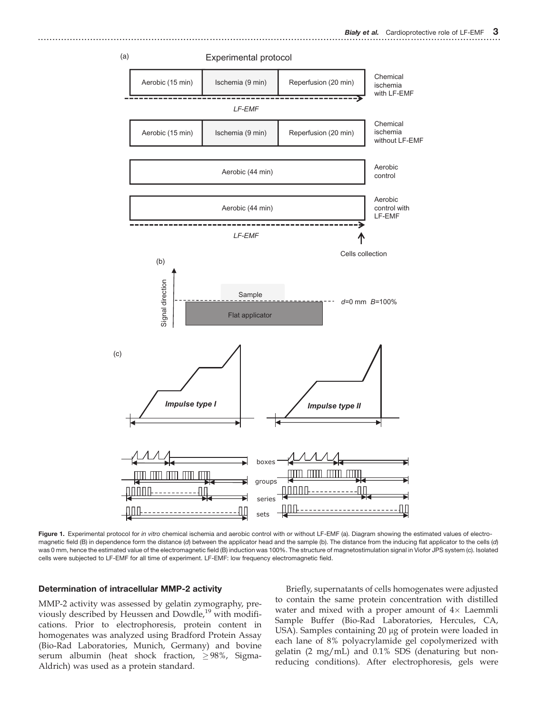

Figure 1. Experimental protocol for in vitro chemical ischemia and aerobic control with or without LF-EMF (a). Diagram showing the estimated values of electromagnetic field (B) in dependence form the distance (d) between the applicator head and the sample (b). The distance from the inducing flat applicator to the cells (d) was 0 mm, hence the estimated value of the electromagnetic field (B) induction was 100%. The structure of magnetostimulation signal in Viofor JPS system (c). Isolated cells were subjected to LF-EMF for all time of experiment. LF-EMF: low frequency electromagnetic field.

#### Determination of intracellular MMP-2 activity

MMP-2 activity was assessed by gelatin zymography, previously described by Heussen and Dowdle,<sup>19</sup> with modifications. Prior to electrophoresis, protein content in homogenates was analyzed using Bradford Protein Assay (Bio-Rad Laboratories, Munich, Germany) and bovine serum albumin (heat shock fraction,  $\geq$ 98%, Sigma-Aldrich) was used as a protein standard.

Briefly, supernatants of cells homogenates were adjusted to contain the same protein concentration with distilled water and mixed with a proper amount of  $4\times$  Laemmli Sample Buffer (Bio-Rad Laboratories, Hercules, CA, USA). Samples containing 20 µg of protein were loaded in each lane of 8% polyacrylamide gel copolymerized with gelatin (2 mg/mL) and 0.1% SDS (denaturing but nonreducing conditions). After electrophoresis, gels were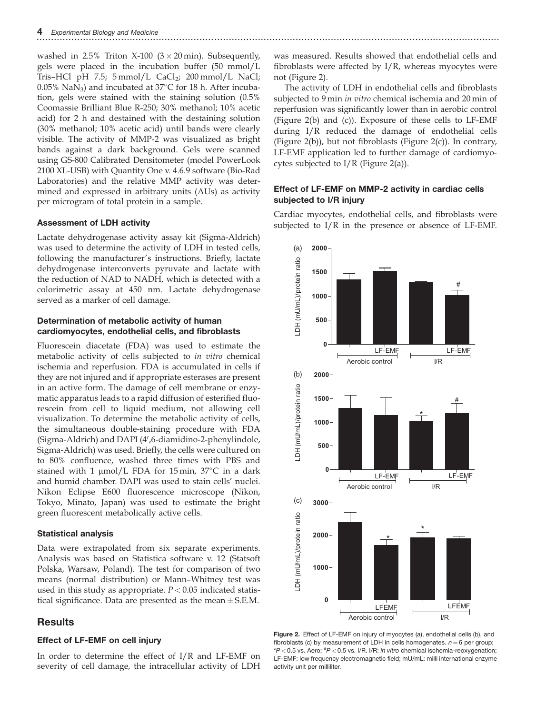washed in 2.5% Triton X-100 ( $3 \times 20$  min). Subsequently, gels were placed in the incubation buffer (50 mmol/L Tris-HCl pH 7.5;  $5$ mmol/L CaCl<sub>2</sub>;  $200$ mmol/L NaCl; 0.05% NaN<sub>3</sub>) and incubated at  $37^{\circ}$ C for 18 h. After incubation, gels were stained with the staining solution (0.5% Coomassie Brilliant Blue R-250; 30% methanol; 10% acetic acid) for 2 h and destained with the destaining solution (30% methanol; 10% acetic acid) until bands were clearly visible. The activity of MMP-2 was visualized as bright bands against a dark background. Gels were scanned using GS-800 Calibrated Densitometer (model PowerLook 2100 XL-USB) with Quantity One v. 4.6.9 software (Bio-Rad Laboratories) and the relative MMP activity was determined and expressed in arbitrary units (AUs) as activity per microgram of total protein in a sample.

#### Assessment of LDH activity

Lactate dehydrogenase activity assay kit (Sigma-Aldrich) was used to determine the activity of LDH in tested cells, following the manufacturer's instructions. Briefly, lactate dehydrogenase interconverts pyruvate and lactate with the reduction of NAD to NADH, which is detected with a colorimetric assay at 450 nm. Lactate dehydrogenase served as a marker of cell damage.

#### Determination of metabolic activity of human cardiomyocytes, endothelial cells, and fibroblasts

Fluorescein diacetate (FDA) was used to estimate the metabolic activity of cells subjected to in vitro chemical ischemia and reperfusion. FDA is accumulated in cells if they are not injured and if appropriate esterases are present in an active form. The damage of cell membrane or enzymatic apparatus leads to a rapid diffusion of esterified fluorescein from cell to liquid medium, not allowing cell visualization. To determine the metabolic activity of cells, the simultaneous double-staining procedure with FDA (Sigma-Aldrich) and DAPI (4′,6-diamidino-2-phenylindole, Sigma-Aldrich) was used. Briefly, the cells were cultured on to 80% confluence, washed three times with PBS and stained with 1  $\mu$ mol/L FDA for 15 min, 37°C in a dark and humid chamber. DAPI was used to stain cells' nuclei. Nikon Eclipse E600 fluorescence microscope (Nikon, Tokyo, Minato, Japan) was used to estimate the bright green fluorescent metabolically active cells.

#### Statistical analysis

Data were extrapolated from six separate experiments. Analysis was based on Statistica software v. 12 (Statsoft Polska, Warsaw, Poland). The test for comparison of two means (normal distribution) or Mann–Whitney test was used in this study as appropriate.  $P < 0.05$  indicated statistical significance. Data are presented as the mean  $\pm$  S.E.M.

## **Results**

### Effect of LF-EMF on cell injury

In order to determine the effect of I/R and LF-EMF on severity of cell damage, the intracellular activity of LDH was measured. Results showed that endothelial cells and fibroblasts were affected by I/R, whereas myocytes were not (Figure 2).

The activity of LDH in endothelial cells and fibroblasts subjected to 9 min in vitro chemical ischemia and 20 min of reperfusion was significantly lower than in aerobic control (Figure 2(b) and (c)). Exposure of these cells to LF-EMF during I/R reduced the damage of endothelial cells (Figure 2(b)), but not fibroblasts (Figure 2(c)). In contrary, LF-EMF application led to further damage of cardiomyocytes subjected to I/R (Figure 2(a)).

#### Effect of LF-EMF on MMP-2 activity in cardiac cells subjected to I/R injury

Cardiac myocytes, endothelial cells, and fibroblasts were subjected to I/R in the presence or absence of LF-EMF.



Figure 2. Effect of LF-EMF on injury of myocytes (a), endothelial cells (b), and fibroblasts (c) by measurement of LDH in cells homogenates.  $n = 6$  per group;  $*P$  < 0.5 vs. Aero;  ${}^{#}P$  < 0.5 vs. I/R. I/R: in vitro chemical ischemia-reoxygenation; LF-EMF: low frequency electromagnetic field; mU/mL: milli international enzyme activity unit per milliliter.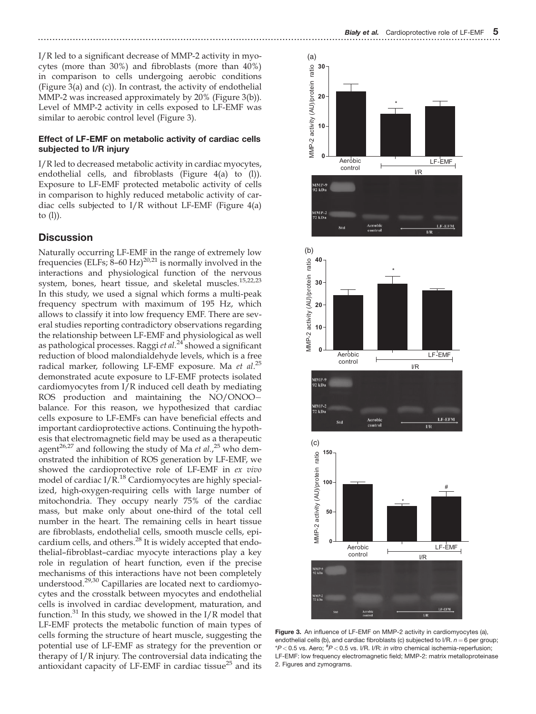I/R led to a significant decrease of MMP-2 activity in myocytes (more than 30%) and fibroblasts (more than 40%) in comparison to cells undergoing aerobic conditions (Figure 3(a) and (c)). In contrast, the activity of endothelial MMP-2 was increased approximately by 20% (Figure 3(b)). Level of MMP-2 activity in cells exposed to LF-EMF was similar to aerobic control level (Figure 3).

#### Effect of LF-EMF on metabolic activity of cardiac cells subjected to I/R injury

I/R led to decreased metabolic activity in cardiac myocytes, endothelial cells, and fibroblasts (Figure 4(a) to (l)). Exposure to LF-EMF protected metabolic activity of cells in comparison to highly reduced metabolic activity of cardiac cells subjected to  $I/R$  without LF-EMF (Figure 4(a) to (l)).

### **Discussion**

Naturally occurring LF-EMF in the range of extremely low frequencies (ELFs;  $8-60$  Hz)<sup>20,21</sup> is normally involved in the interactions and physiological function of the nervous system, bones, heart tissue, and skeletal muscles.15,22,23 In this study, we used a signal which forms a multi-peak frequency spectrum with maximum of 195 Hz, which allows to classify it into low frequency EMF. There are several studies reporting contradictory observations regarding the relationship between LF-EMF and physiological as well as pathological processes. Raggi et  $al.^{24}$  showed a significant reduction of blood malondialdehyde levels, which is a free radical marker, following LF-EMF exposure. Ma et al.<sup>25</sup> demonstrated acute exposure to LF-EMF protects isolated cardiomyocytes from I/R induced cell death by mediating ROS production and maintaining the NO/ONOO balance. For this reason, we hypothesized that cardiac cells exposure to LF-EMFs can have beneficial effects and important cardioprotective actions. Continuing the hypothesis that electromagnetic field may be used as a therapeutic agent<sup>26,27</sup> and following the study of Ma et al.,<sup>25</sup> who demonstrated the inhibition of ROS generation by LF-EMF, we showed the cardioprotective role of LF-EMF in ex vivo model of cardiac  $I/R$ .<sup>18</sup> Cardiomyocytes are highly specialized, high-oxygen-requiring cells with large number of mitochondria. They occupy nearly 75% of the cardiac mass, but make only about one-third of the total cell number in the heart. The remaining cells in heart tissue are fibroblasts, endothelial cells, smooth muscle cells, epicardium cells, and others.<sup>28</sup> It is widely accepted that endothelial–fibroblast–cardiac myocyte interactions play a key role in regulation of heart function, even if the precise mechanisms of this interactions have not been completely understood.29,30 Capillaries are located next to cardiomyocytes and the crosstalk between myocytes and endothelial cells is involved in cardiac development, maturation, and function.<sup>31</sup> In this study, we showed in the  $I/R$  model that LF-EMF protects the metabolic function of main types of cells forming the structure of heart muscle, suggesting the potential use of LF-EMF as strategy for the prevention or therapy of I/R injury. The controversial data indicating the antioxidant capacity of LF-EMF in cardiac tissue $^{25}$  and its



Figure 3. An influence of LF-EMF on MMP-2 activity in cardiomyocytes (a), endothelial cells (b), and cardiac fibroblasts (c) subjected to I/R.  $n = 6$  per group;  $*P < 0.5$  vs. Aero;  $*P < 0.5$  vs. I/R. I/R: in vitro chemical ischemia-reperfusion; LF-EMF: low frequency electromagnetic field; MMP-2: matrix metalloproteinase 2. Figures and zymograms.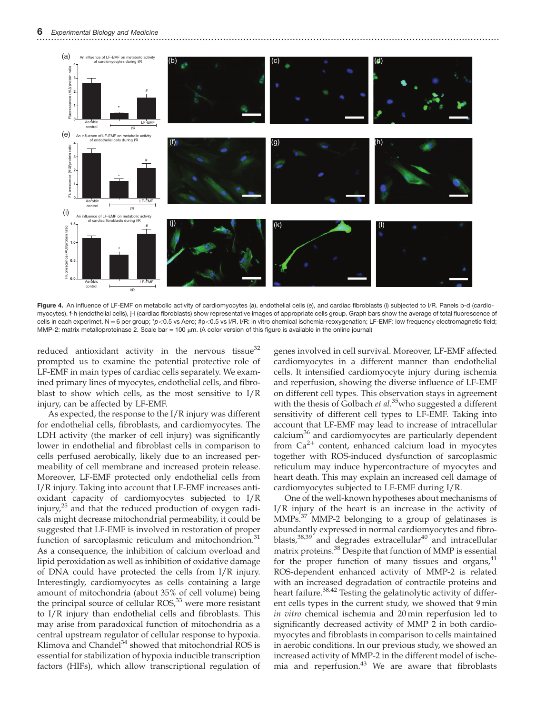

Figure 4. An influence of LF-EMF on metabolic activity of cardiomyocytes (a), endothelial cells (e), and cardiac fibroblasts (i) subjected to I/R. Panels b-d (cardiomyocytes), f-h (endothelial cells), j-l (cardiac fibroblasts) show representative images of appropriate cells group. Graph bars show the average of total fluorescence of cells in each experimet. N = 6 per group; \*p<0.5 vs Aero; #p<0.5 vs I/R. I/R: in vitro chemical ischemia-reoxygenation; LF-EMF: low frequency electromagnetic field; MMP-2: matrix metalloproteinase 2. Scale bar = 100  $\mu$ m. (A color version of this figure is available in the online journal)

reduced antioxidant activity in the nervous tissue $32$ prompted us to examine the potential protective role of LF-EMF in main types of cardiac cells separately. We examined primary lines of myocytes, endothelial cells, and fibroblast to show which cells, as the most sensitive to  $I/R$ injury, can be affected by LF-EMF.

As expected, the response to the I/R injury was different for endothelial cells, fibroblasts, and cardiomyocytes. The LDH activity (the marker of cell injury) was significantly lower in endothelial and fibroblast cells in comparison to cells perfused aerobically, likely due to an increased permeability of cell membrane and increased protein release. Moreover, LF-EMF protected only endothelial cells from I/R injury. Taking into account that LF-EMF increases antioxidant capacity of cardiomyocytes subjected to I/R injury,<sup>25</sup> and that the reduced production of oxygen radicals might decrease mitochondrial permeability, it could be suggested that LF-EMF is involved in restoration of proper function of sarcoplasmic reticulum and mitochondrion.<sup>31</sup> As a consequence, the inhibition of calcium overload and lipid peroxidation as well as inhibition of oxidative damage of DNA could have protected the cells from I/R injury. Interestingly, cardiomyocytes as cells containing a large amount of mitochondria (about 35% of cell volume) being the principal source of cellular  $ROS<sub>33</sub>$  were more resistant to I/R injury than endothelial cells and fibroblasts. This may arise from paradoxical function of mitochondria as a central upstream regulator of cellular response to hypoxia. Klimova and Chandel $34$  showed that mitochondrial ROS is essential for stabilization of hypoxia inducible transcription factors (HIFs), which allow transcriptional regulation of

genes involved in cell survival. Moreover, LF-EMF affected cardiomyocytes in a different manner than endothelial cells. It intensified cardiomyocyte injury during ischemia and reperfusion, showing the diverse influence of LF-EMF on different cell types. This observation stays in agreement with the thesis of Golbach et  $al.^{35}$  who suggested a different sensitivity of different cell types to LF-EMF. Taking into account that LF-EMF may lead to increase of intracellular calcium<sup>36</sup> and cardiomyocytes are particularly dependent from  $Ca^{2+}$  content, enhanced calcium load in myocytes together with ROS-induced dysfunction of sarcoplasmic reticulum may induce hypercontracture of myocytes and heart death. This may explain an increased cell damage of cardiomyocytes subjected to LF-EMF during I/R.

One of the well-known hypotheses about mechanisms of I/R injury of the heart is an increase in the activity of MMPs.<sup>37</sup> MMP-2 belonging to a group of gelatinases is abundantly expressed in normal cardiomyocytes and fibroblasts, $38,39$  and degrades extracellular<sup>40</sup> and intracellular matrix proteins.<sup>38</sup> Despite that function of MMP is essential for the proper function of many tissues and organs, $41$ ROS-dependent enhanced activity of MMP-2 is related with an increased degradation of contractile proteins and heart failure.<sup>38,42</sup> Testing the gelatinolytic activity of different cells types in the current study, we showed that 9 min in vitro chemical ischemia and 20 min reperfusion led to significantly decreased activity of MMP 2 in both cardiomyocytes and fibroblasts in comparison to cells maintained in aerobic conditions. In our previous study, we showed an increased activity of MMP-2 in the different model of ischemia and reperfusion.<sup>43</sup> We are aware that fibroblasts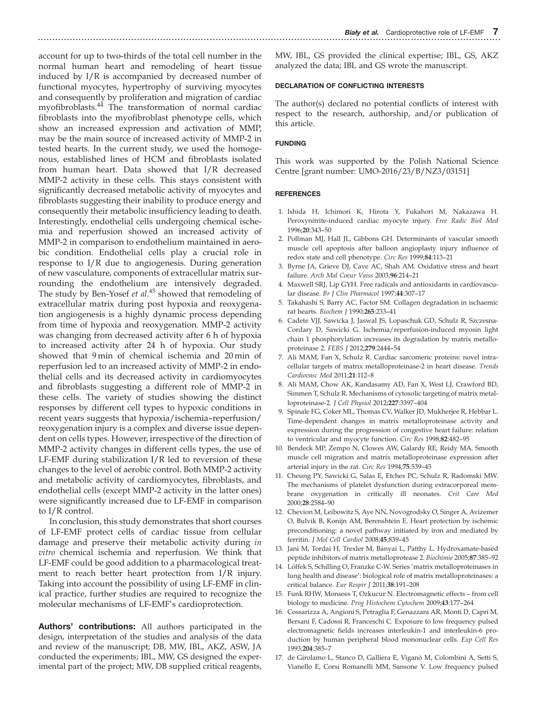account for up to two-thirds of the total cell number in the normal human heart and remodeling of heart tissue induced by I/R is accompanied by decreased number of functional myocytes, hypertrophy of surviving myocytes and consequently by proliferation and migration of cardiac myofibroblasts.44 The transformation of normal cardiac fibroblasts into the myofibroblast phenotype cells, which show an increased expression and activation of MMP, may be the main source of increased activity of MMP-2 in tested hearts. In the current study, we used the homogenous, established lines of HCM and fibroblasts isolated from human heart. Data showed that I/R decreased MMP-2 activity in these cells. This stays consistent with significantly decreased metabolic activity of myocytes and fibroblasts suggesting their inability to produce energy and consequently their metabolic insufficiency leading to death. Interestingly, endothelial cells undergoing chemical ischemia and reperfusion showed an increased activity of MMP-2 in comparison to endothelium maintained in aerobic condition. Endothelial cells play a crucial role in response to I/R due to angiogenesis. During generation of new vasculature, components of extracellular matrix surrounding the endothelium are intensively degraded. The study by Ben-Yosef et al.<sup>45</sup> showed that remodeling of extracellular matrix during post hypoxia and reoxygenation angiogenesis is a highly dynamic process depending from time of hypoxia and reoxygenation. MMP-2 activity was changing from decreased activity after 6 h of hypoxia to increased activity after 24 h of hypoxia. Our study showed that 9 min of chemical ischemia and 20 min of reperfusion led to an increased activity of MMP-2 in endothelial cells and its decreased activity in cardiomyocytes and fibroblasts suggesting a different role of MMP-2 in these cells. The variety of studies showing the distinct responses by different cell types to hypoxic conditions in recent years suggests that hypoxia/ischemia–reperfusion/ reoxygenation injury is a complex and diverse issue dependent on cells types. However, irrespective of the direction of MMP-2 activity changes in different cells types, the use of LF-EMF during stabilization I/R led to reversion of these changes to the level of aerobic control. Both MMP-2 activity and metabolic activity of cardiomyocytes, fibroblasts, and endothelial cells (except MMP-2 activity in the latter ones) were significantly increased due to LF-EMF in comparison to I/R control.

In conclusion, this study demonstrates that short courses of LF-EMF protect cells of cardiac tissue from cellular damage and preserve their metabolic activity during in vitro chemical ischemia and reperfusion. We think that LF-EMF could be good addition to a pharmacological treatment to reach better heart protection from I/R injury. Taking into account the possibility of using LF-EMF in clinical practice, further studies are required to recognize the molecular mechanisms of LF-EMF's cardioprotection.

Authors' contributions: All authors participated in the design, interpretation of the studies and analysis of the data and review of the manuscript; DB, MW, IBL, AKZ, ASW, JA conducted the experiments; IBL, MW, GS designed the experimental part of the project; MW, DB supplied critical reagents, MW, IBL, GS provided the clinical expertise; IBL, GS, AKZ analyzed the data; IBL and GS wrote the manuscript.

#### DECLARATION OF CONFLICTING INTERESTS

The author(s) declared no potential conflicts of interest with respect to the research, authorship, and/or publication of this article.

#### FUNDING

This work was supported by the Polish National Science Centre [grant number: UMO-2016/23/B/NZ3/03151]

#### REFERENCES

- 1. Ishida H, Ichimori K, Hirota Y, Fukahori M, Nakazawa H. Peroxynitrite-induced cardiac myocyte injury. Free Radic Biol Med 1996;20:343–50
- 2. Pollman MJ, Hall JL, Gibbons GH. Determinants of vascular smooth muscle cell apoptosis after balloon angioplasty injury influence of redox state and cell phenotype. Circ Res 1999;84:113–21
- 3. Byrne JA, Grieve DJ, Cave AC, Shah AM. Oxidative stress and heart failure. Arch Mal Coeur Vaiss 2003;96:214–21
- 4. Maxwell SRJ, Lip GYH. Free radicals and antioxidants in cardiovascular disease. Br J Clin Pharmacol 1997;44:307–17
- 5. Takahashi S, Barry AC, Factor SM. Collagen degradation in ischaemic rat hearts. Biochem J 1990;265:233–41
- 6. Cadete VJJ, Sawicka J, Jaswal JS, Lopaschuk GD, Schulz R, Szczesna-Cordary D, Sawicki G. Ischemia/reperfusion-induced myosin light chain 1 phosphorylation increases its degradation by matrix metalloproteinase 2. FEBS J 2012;279:2444–54
- 7. Ali MAM, Fan X, Schulz R. Cardiac sarcomeric proteins: novel intracellular targets of matrix metalloproteinase-2 in heart disease. Trends Cardiovasc Med 2011;21:112–8
- 8. Ali MAM, Chow AK, Kandasamy AD, Fan X, West LJ, Crawford BD, Simmen T, Schulz R. Mechanisms of cytosolic targeting of matrix metalloproteinase-2. J Cell Physiol 2012;227:3397–404
- 9. Spinale FG, Coker ML, Thomas CV, Walker JD, Mukherjee R, Hebbar L. Time-dependent changes in matrix metalloproteinase activity and expression during the progression of congestive heart failure: relation to ventricular and myocyte function. Circ Res 1998;82:482–95
- 10. Bendeck MP, Zempo N, Clowes AW, Galardy RE, Reidy MA. Smooth muscle cell migration and matrix metalloproteinase expression after arterial injury in the rat. Circ Res 1994;75:539–45
- 11. Cheung PY, Sawicki G, Salas E, Etches PC, Schulz R, Radomski MW. The mechanisms of platelet dysfunction during extracorporeal membrane oxygenation in critically ill neonates. Crit Care Med 2000;28:2584–90
- 12. Chevion M, Leibowitz S, Aye NN, Novogrodsky O, Singer A, Avizemer O, Bulvik B, Konijn AM, Berenshtein E. Heart protection by ischemic preconditioning: a novel pathway initiated by iron and mediated by ferritin. J Mol Cell Cardiol 2008;45:839–45
- 13. Jani M, Tordai H, Trexler M, Bányai L, Patthy L. Hydroxamate-based peptide inhibitors of matrix metalloprotease 2. Biochimie 2005;87:385–92
- 14. Löffek S, Schilling O, Franzke C-W. Series 'matrix metalloproteinases in lung health and disease': biological role of matrix metalloproteinases: a critical balance. Eur Respir J 2011;38:191–208
- 15. Funk RHW, Monsees T, Ozkucur N. Electromagnetic effects from cell biology to medicine. Prog Histochem Cytochem 2009;43:177–264
- 16. Cossarizza A, Angioni S, Petraglia F, Genazzani AR, Monti D, Capri M, Bersani F, Cadossi R, Franceschi C. Exposure to low frequency pulsed electromagnetic fields increases interleukin-1 and interleukin-6 production by human peripheral blood mononuclear cells. Exp Cell Res 1993;204:385–7
- 17. de Girolamo L, Stanco D, Galliera E, Viganò M, Colombini A, Setti S, Vianello E, Corsi Romanelli MM, Sansone V. Low frequency pulsed